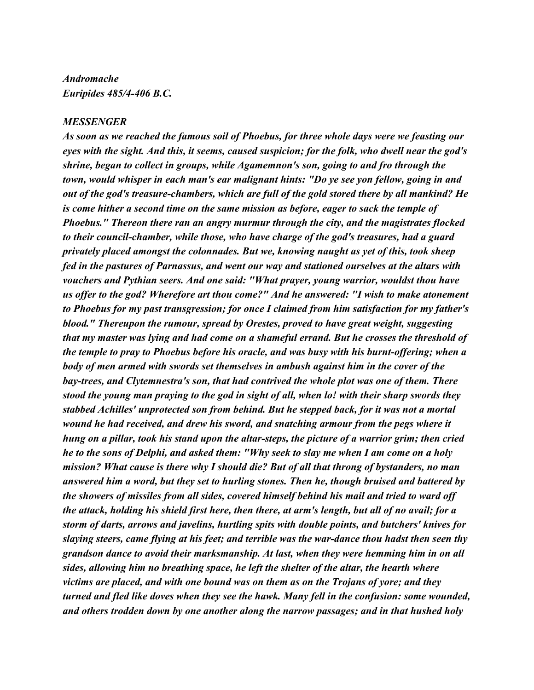## *Andromache Euripides 485/4-406 B.C.*

## *MESSENGER*

*As soon as we reached the famous soil of Phoebus, for three whole days were we feasting our eyes with the sight. And this, it seems, caused suspicion; for the folk, who dwell near the god's shrine, began to collect in groups, while Agamemnon's son, going to and fro through the town, would whisper in each man's ear malignant hints: "Do ye see yon fellow, going in and out of the god's treasure-chambers, which are full of the gold stored there by all mankind? He is come hither a second time on the same mission as before, eager to sack the temple of Phoebus." Thereon there ran an angry murmur through the city, and the magistrates flocked to their council-chamber, while those, who have charge of the god's treasures, had a guard privately placed amongst the colonnades. But we, knowing naught as yet of this, took sheep fed in the pastures of Parnassus, and went our way and stationed ourselves at the altars with vouchers and Pythian seers. And one said: "What prayer, young warrior, wouldst thou have us offer to the god? Wherefore art thou come?" And he answered: "I wish to make atonement to Phoebus for my past transgression; for once I claimed from him satisfaction for my father's blood." Thereupon the rumour, spread by Orestes, proved to have great weight, suggesting that my master was lying and had come on a shameful errand. But he crosses the threshold of the temple to pray to Phoebus before his oracle, and was busy with his burnt-offering; when a body of men armed with swords set themselves in ambush against him in the cover of the bay-trees, and Clytemnestra's son, that had contrived the whole plot was one of them. There stood the young man praying to the god in sight of all, when lo! with their sharp swords they stabbed Achilles' unprotected son from behind. But he stepped back, for it was not a mortal wound he had received, and drew his sword, and snatching armour from the pegs where it hung on a pillar, took his stand upon the altar-steps, the picture of a warrior grim; then cried he to the sons of Delphi, and asked them: "Why seek to slay me when I am come on a holy mission? What cause is there why I should die? But of all that throng of bystanders, no man answered him a word, but they set to hurling stones. Then he, though bruised and battered by the showers of missiles from all sides, covered himself behind his mail and tried to ward off the attack, holding his shield first here, then there, at arm's length, but all of no avail; for a storm of darts, arrows and javelins, hurtling spits with double points, and butchers' knives for slaying steers, came flying at his feet; and terrible was the war-dance thou hadst then seen thy grandson dance to avoid their marksmanship. At last, when they were hemming him in on all sides, allowing him no breathing space, he left the shelter of the altar, the hearth where victims are placed, and with one bound was on them as on the Trojans of yore; and they turned and fled like doves when they see the hawk. Many fell in the confusion: some wounded, and others trodden down by one another along the narrow passages; and in that hushed holy*